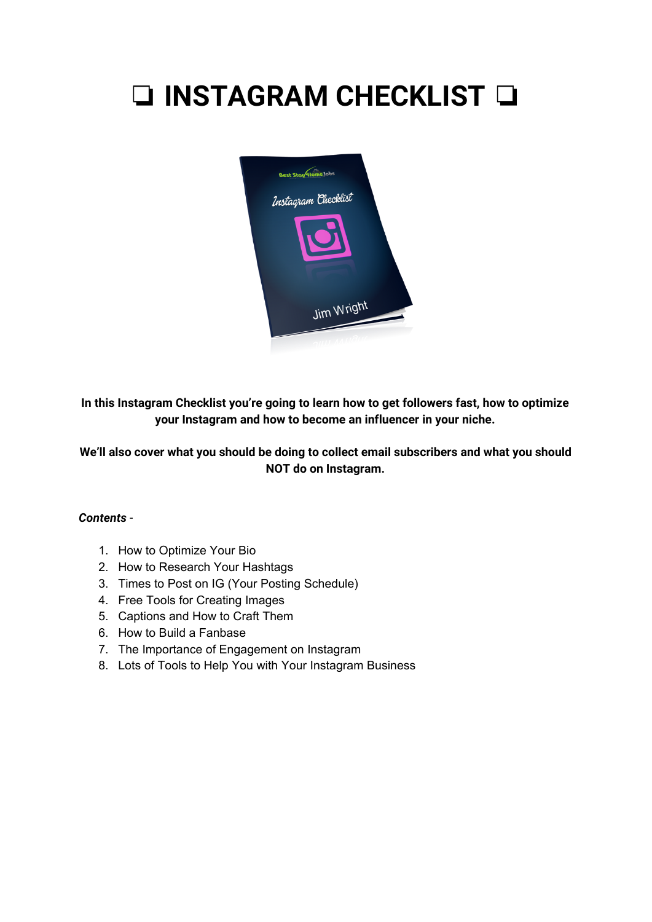# ❏ **INSTAGRAM CHECKLIST** ❏



**In this Instagram Checklist you're going to learn how to get followers fast, how to optimize your Instagram and how to become an influencer in your niche.**

#### **We'll also cover what you should be doing to collect email subscribers and what you should NOT do on Instagram.**

#### *Contents* -

- 1. How to Optimize Your Bio
- 2. How to Research Your Hashtags
- 3. Times to Post on IG (Your Posting Schedule)
- 4. Free Tools for Creating Images
- 5. Captions and How to Craft Them
- 6. How to Build a Fanbase
- 7. The Importance of Engagement on Instagram
- 8. Lots of Tools to Help You with Your Instagram Business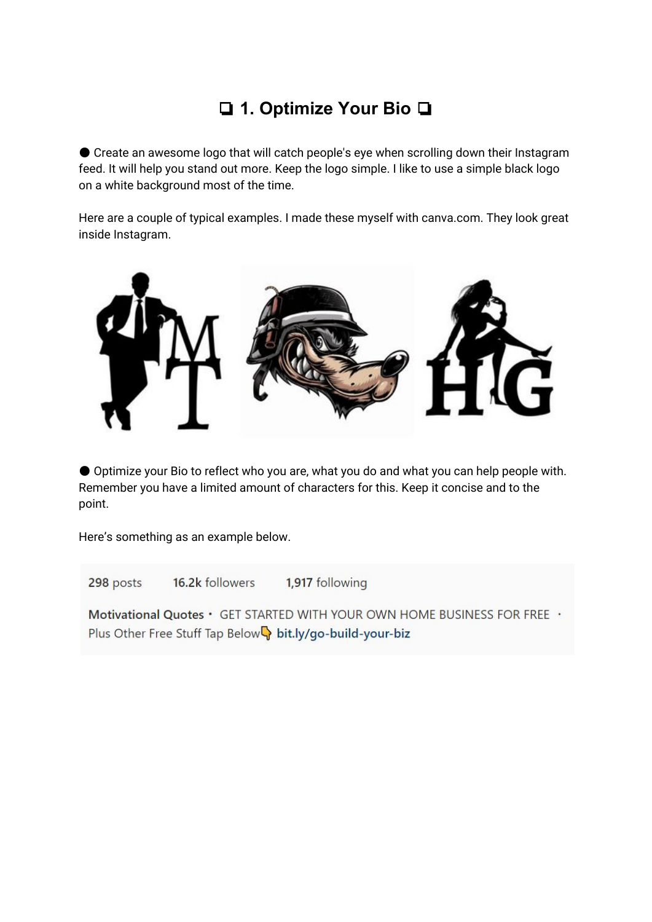# ❏ **1. Optimize Your Bio** ❏

● Create an awesome logo that will catch people's eye when scrolling down their Instagram feed. It will help you stand out more. Keep the logo simple. I like to use a simple black logo on a white background most of the time.

Here are a couple of typical examples. I made these myself with canva.com. They look great inside Instagram.



● Optimize your Bio to reflect who you are, what you do and what you can help people with. Remember you have a limited amount of characters for this. Keep it concise and to the point.

Here's something as an example below.

16.2k followers 1,917 following 298 posts Motivational Quotes • GET STARTED WITH YOUR OWN HOME BUSINESS FOR FREE · Plus Other Free Stuff Tap Below bit.ly/go-build-your-biz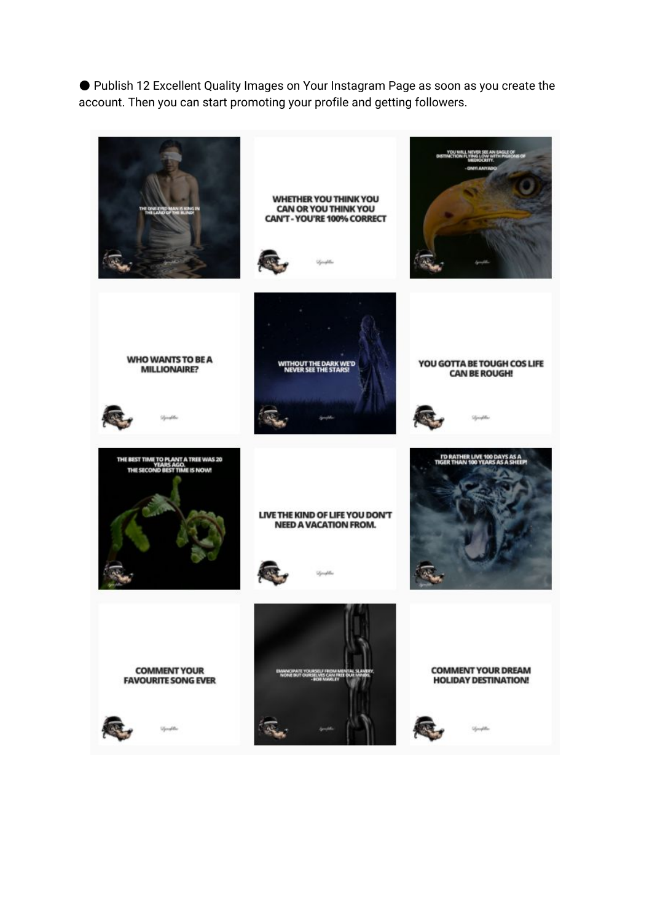● Publish 12 Excellent Quality Images on Your Instagram Page as soon as you create the account. Then you can start promoting your profile and getting followers.

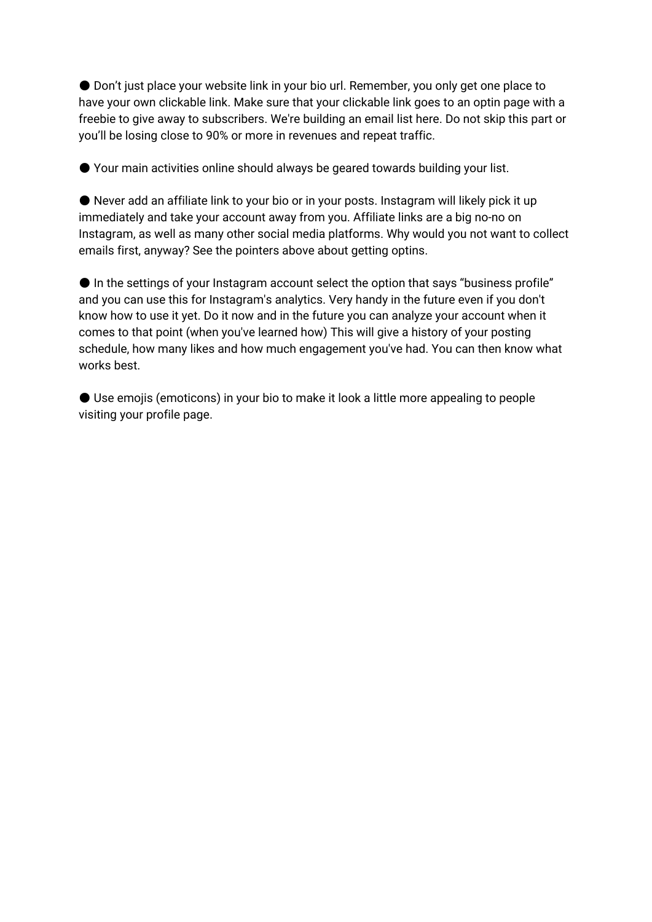● Don't just place your website link in your bio url. Remember, you only get one place to have your own clickable link. Make sure that your clickable link goes to an optin page with a freebie to give away to subscribers. We're building an email list here. Do not skip this part or you'll be losing close to 90% or more in revenues and repeat traffic.

● Your main activities online should always be geared towards building your list.

● Never add an affiliate link to your bio or in your posts. Instagram will likely pick it up immediately and take your account away from you. Affiliate links are a big no-no on Instagram, as well as many other social media platforms. Why would you not want to collect emails first, anyway? See the pointers above about getting optins.

● In the settings of your Instagram account select the option that says "business profile" and you can use this for Instagram's analytics. Very handy in the future even if you don't know how to use it yet. Do it now and in the future you can analyze your account when it comes to that point (when you've learned how) This will give a history of your posting schedule, how many likes and how much engagement you've had. You can then know what works best.

● Use emojis (emoticons) in your bio to make it look a little more appealing to people visiting your profile page.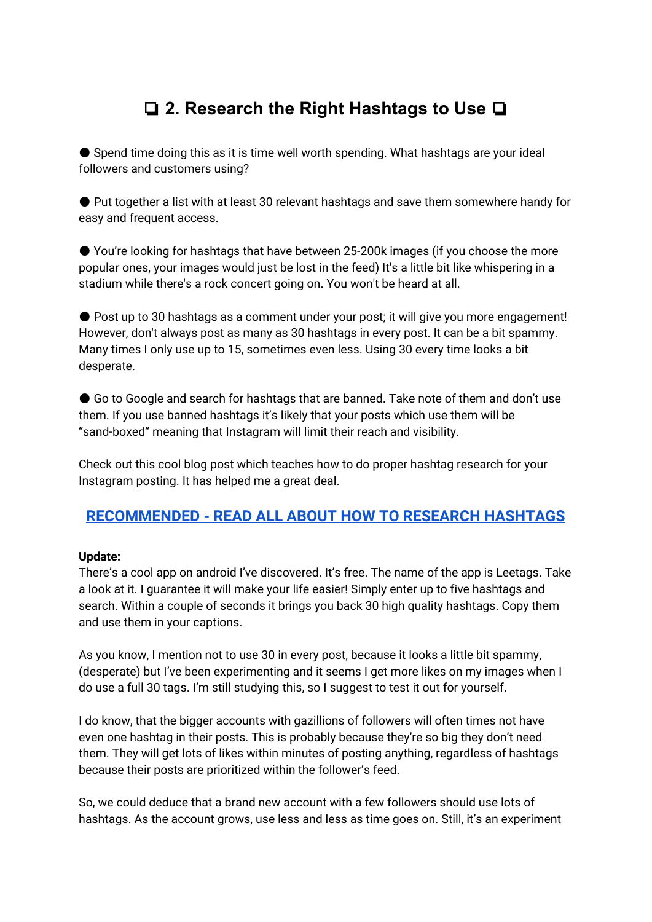# ❏ **2. Research the Right Hashtags to Use** ❏

● Spend time doing this as it is time well worth spending. What hashtags are your ideal followers and customers using?

● Put together a list with at least 30 relevant hashtags and save them somewhere handy for easy and frequent access.

● You're looking for hashtags that have between 25-200k images (if you choose the more popular ones, your images would just be lost in the feed) It's a little bit like whispering in a stadium while there's a rock concert going on. You won't be heard at all.

● Post up to 30 hashtags as a comment under your post; it will give you more engagement! However, don't always post as many as 30 hashtags in every post. It can be a bit spammy. Many times I only use up to 15, sometimes even less. Using 30 every time looks a bit desperate.

● Go to Google and search for hashtags that are banned. Take note of them and don't use them. If you use banned hashtags it's likely that your posts which use them will be "sand-boxed" meaning that Instagram will limit their reach and visibility.

Check out this cool blog post which teaches how to do proper hashtag research for your Instagram posting. It has helped me a great deal.

### **[RECOMMENDED](http://www.androidtipster.com/growing-instagram-account-using-hashtags/) - READ ALL ABOUT HOW TO RESEARCH HASHTAGS**

#### **Update:**

There's a cool app on android I've discovered. It's free. The name of the app is Leetags. Take a look at it. I guarantee it will make your life easier! Simply enter up to five hashtags and search. Within a couple of seconds it brings you back 30 high quality hashtags. Copy them and use them in your captions.

As you know, I mention not to use 30 in every post, because it looks a little bit spammy, (desperate) but I've been experimenting and it seems I get more likes on my images when I do use a full 30 tags. I'm still studying this, so I suggest to test it out for yourself.

I do know, that the bigger accounts with gazillions of followers will often times not have even one hashtag in their posts. This is probably because they're so big they don't need them. They will get lots of likes within minutes of posting anything, regardless of hashtags because their posts are prioritized within the follower's feed.

So, we could deduce that a brand new account with a few followers should use lots of hashtags. As the account grows, use less and less as time goes on. Still, it's an experiment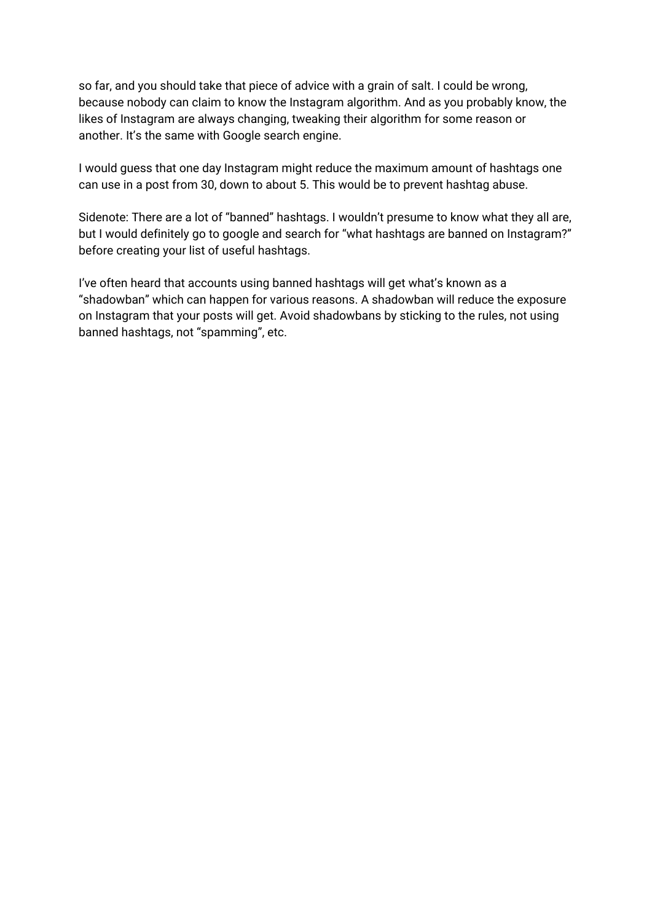so far, and you should take that piece of advice with a grain of salt. I could be wrong, because nobody can claim to know the Instagram algorithm. And as you probably know, the likes of Instagram are always changing, tweaking their algorithm for some reason or another. It's the same with Google search engine.

I would guess that one day Instagram might reduce the maximum amount of hashtags one can use in a post from 30, down to about 5. This would be to prevent hashtag abuse.

Sidenote: There are a lot of "banned" hashtags. I wouldn't presume to know what they all are, but I would definitely go to google and search for "what hashtags are banned on Instagram?" before creating your list of useful hashtags.

I've often heard that accounts using banned hashtags will get what's known as a "shadowban" which can happen for various reasons. A shadowban will reduce the exposure on Instagram that your posts will get. Avoid shadowbans by sticking to the rules, not using banned hashtags, not "spamming", etc.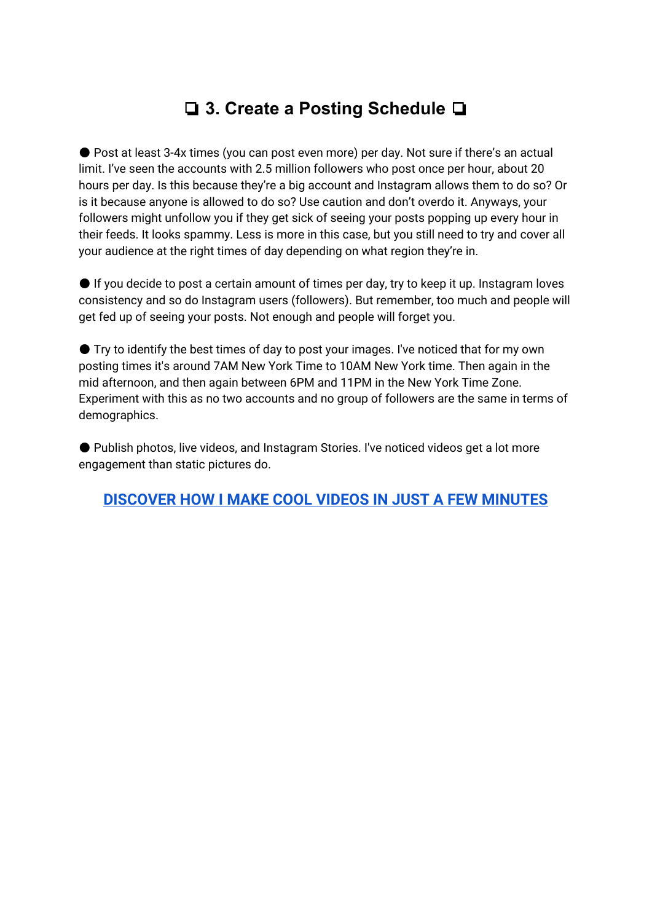# ❏ **3. Create a Posting Schedule** ❏

● Post at least 3-4x times (you can post even more) per day. Not sure if there's an actual limit. I've seen the accounts with 2.5 million followers who post once per hour, about 20 hours per day. Is this because they're a big account and Instagram allows them to do so? Or is it because anyone is allowed to do so? Use caution and don't overdo it. Anyways, your followers might unfollow you if they get sick of seeing your posts popping up every hour in their feeds. It looks spammy. Less is more in this case, but you still need to try and cover all your audience at the right times of day depending on what region they're in.

● If you decide to post a certain amount of times per day, try to keep it up. Instagram loves consistency and so do Instagram users (followers). But remember, too much and people will get fed up of seeing your posts. Not enough and people will forget you.

● Try to identify the best times of day to post your images. I've noticed that for my own posting times it's around 7AM New York Time to 10AM New York time. Then again in the mid afternoon, and then again between 6PM and 11PM in the New York Time Zone. Experiment with this as no two accounts and no group of followers are the same in terms of demographics.

● Publish photos, live videos, and Instagram Stories. I've noticed videos get a lot more engagement than static pictures do.

**[DISCOVER](https://beststayhomejobs.com/howtomakecoolvideos) HOW I MAKE COOL VIDEOS IN JUST A FEW MINUTES**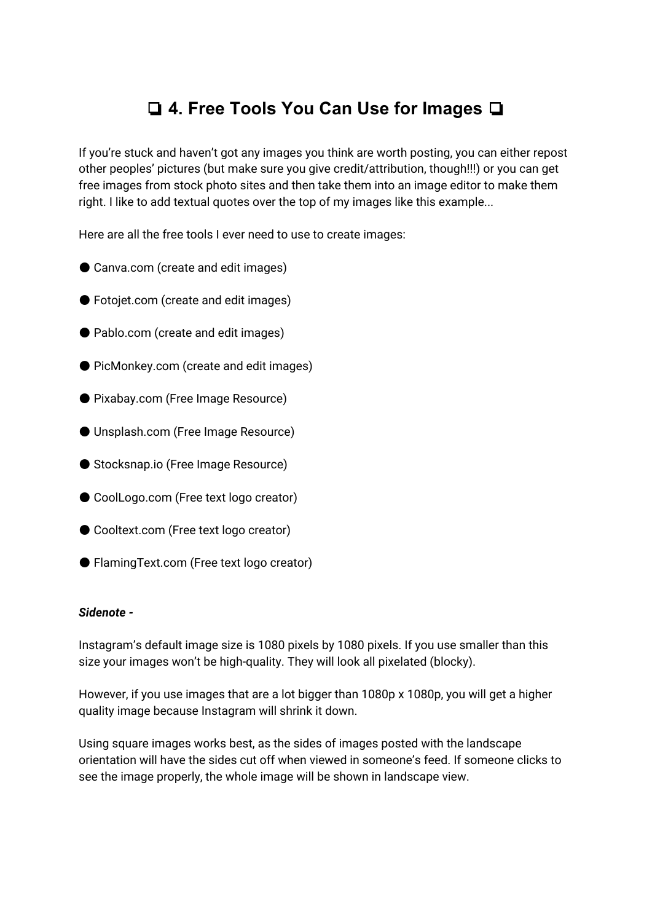# ❏ **4. Free Tools You Can Use for Images** ❏

If you're stuck and haven't got any images you think are worth posting, you can either repost other peoples' pictures (but make sure you give credit/attribution, though!!!) or you can get free images from stock photo sites and then take them into an image editor to make them right. I like to add textual quotes over the top of my images like this example...

Here are all the free tools I ever need to use to create images:

- Canva.com (create and edit images)
- Fotojet.com (create and edit images)
- Pablo.com (create and edit images)
- PicMonkey.com (create and edit images)
- Pixabay.com (Free Image Resource)
- Unsplash.com (Free Image Resource)
- Stocksnap.io (Free Image Resource)
- CoolLogo.com (Free text logo creator)
- Cooltext.com (Free text logo creator)
- FlamingText.com (Free text logo creator)

#### *Sidenote -*

Instagram's default image size is 1080 pixels by 1080 pixels. If you use smaller than this size your images won't be high-quality. They will look all pixelated (blocky).

However, if you use images that are a lot bigger than 1080p x 1080p, you will get a higher quality image because Instagram will shrink it down.

Using square images works best, as the sides of images posted with the landscape orientation will have the sides cut off when viewed in someone's feed. If someone clicks to see the image properly, the whole image will be shown in landscape view.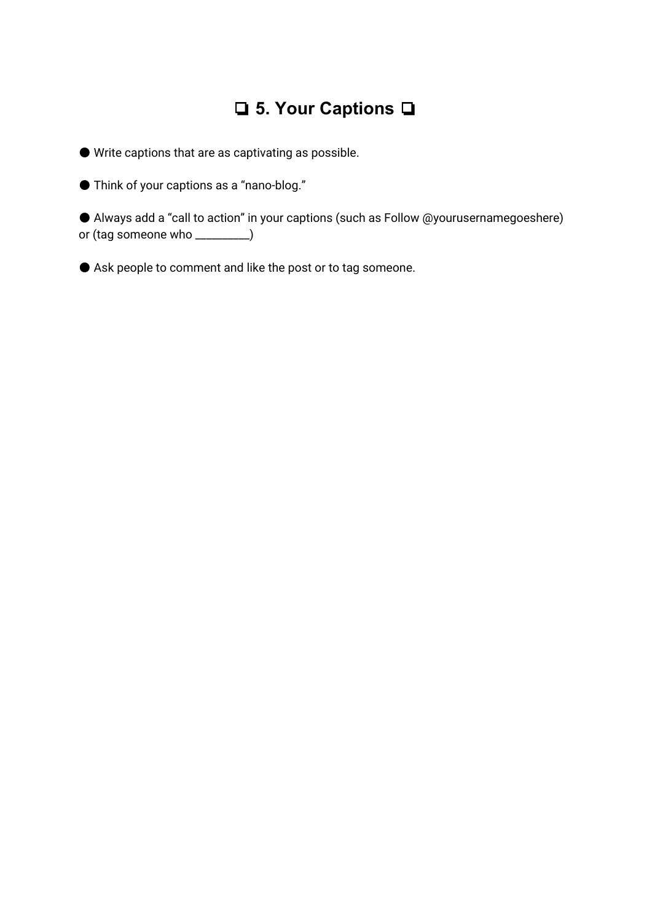# ❏ **5. Your Captions** ❏

● Write captions that are as captivating as possible.

● Think of your captions as a "nano-blog."

● Always add a "call to action" in your captions (such as Follow @yourusernamegoeshere) or (tag someone who \_\_\_\_\_\_\_\_\_\_)

● Ask people to comment and like the post or to tag someone.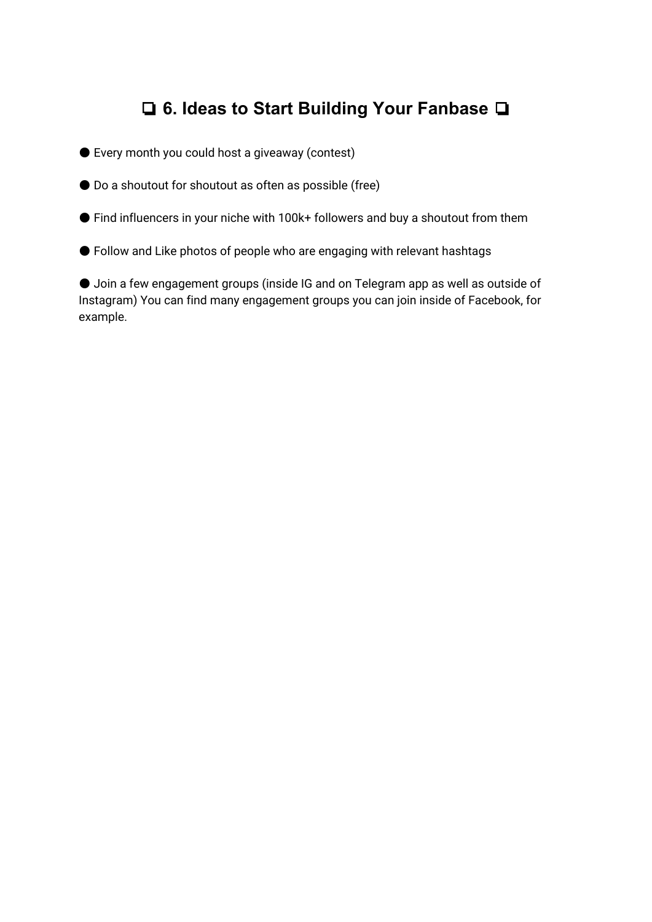# ❏ **6. Ideas to Start Building Your Fanbase** ❏

- Every month you could host a giveaway (contest)
- Do a shoutout for shoutout as often as possible (free)
- Find influencers in your niche with 100k+ followers and buy a shoutout from them
- Follow and Like photos of people who are engaging with relevant hashtags

● Join a few engagement groups (inside IG and on Telegram app as well as outside of Instagram) You can find many engagement groups you can join inside of Facebook, for example.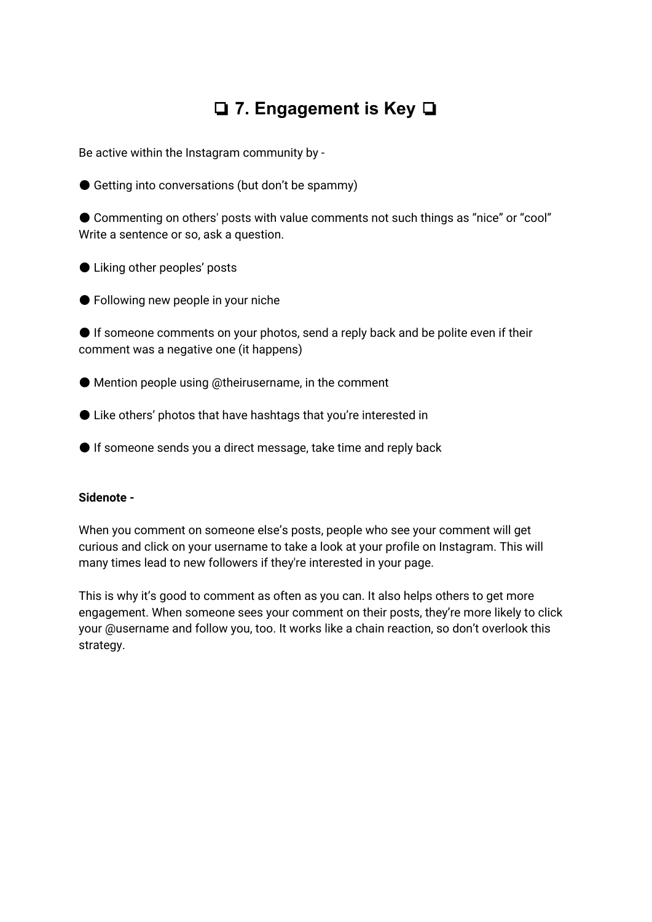# ❏ **7. Engagement is Key** ❏

Be active within the Instagram community by -

● Getting into conversations (but don't be spammy)

● Commenting on others' posts with value comments not such things as "nice" or "cool" Write a sentence or so, ask a question.

● Liking other peoples' posts

● Following new people in your niche

● If someone comments on your photos, send a reply back and be polite even if their comment was a negative one (it happens)

● Mention people using @theirusername, in the comment

- Like others' photos that have hashtags that you're interested in
- If someone sends you a direct message, take time and reply back

#### **Sidenote -**

When you comment on someone else's posts, people who see your comment will get curious and click on your username to take a look at your profile on Instagram. This will many times lead to new followers if they're interested in your page.

This is why it's good to comment as often as you can. It also helps others to get more engagement. When someone sees your comment on their posts, they're more likely to click your @username and follow you, too. It works like a chain reaction, so don't overlook this strategy.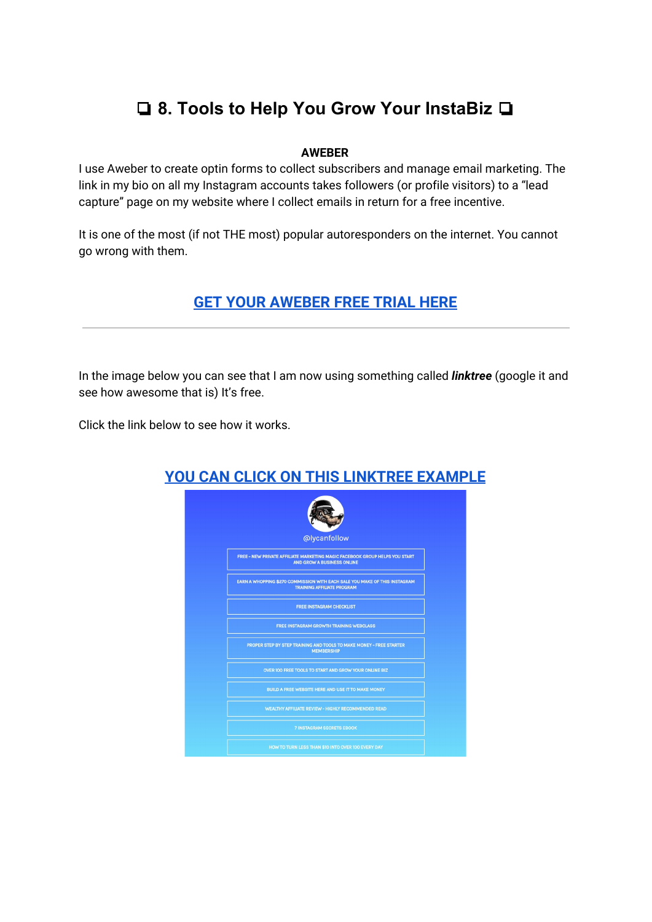# ❏ **8. Tools to Help You Grow Your InstaBiz** ❏

#### **AWEBER**

I use Aweber to create optin forms to collect subscribers and manage email marketing. The link in my bio on all my Instagram accounts takes followers (or profile visitors) to a "lead capture" page on my website where I collect emails in return for a free incentive.

It is one of the most (if not THE most) popular autoresponders on the internet. You cannot go wrong with them.

### **GET YOUR [AWEBER](https://beststayhomejobs.com/getawebernow) FREE TRIAL HERE**

In the image below you can see that I am now using something called *linktree* (google it and see how awesome that is) It's free.

Click the link below to see how it works.

| @lycanfollow                                                                                                     |
|------------------------------------------------------------------------------------------------------------------|
| FREE - NEW PRIVATE AFFILIATE MARKETING MAGIC FACEBOOK GROUP HELPS YOU START<br><b>AND GROW A BUSINESS ONLINE</b> |
| EARN A WHOPPING \$270 COMMISSION WITH EACH SALE YOU MAKE OF THIS INSTAGRAM<br><b>TRAINING AFFILIATE PROGRAM</b>  |
| <b>FREE INSTAGRAM CHECKLIST</b>                                                                                  |
| <b>FREE INSTAGRAM GROWTH TRAINING WEBCLASS</b>                                                                   |
| PROPER STEP BY STEP TRAINING AND TOOLS TO MAKE MONEY - FREE STARTER<br><b>MEMBERSHIP</b>                         |
| OVER 100 FREE TOOLS TO START AND GROW YOUR ONLINE BIZ                                                            |
| <b>BUILD A FREE WEBSITE HERE AND USE IT TO MAKE MONEY</b>                                                        |
| <b>WEALTHY AFFILIATE REVIEW - HIGHLY RECOMMENDED READ</b>                                                        |
| <b>7 INSTAGRAM SECRETS EBOOK</b>                                                                                 |
| HOW TO TURN LESS THAN \$10 INTO OVER 100 EVERY DAY                                                               |

### **YOU CAN CLICK ON THIS [LINKTREE](https://linktr.ee/lycanfollow) EXAMPLE**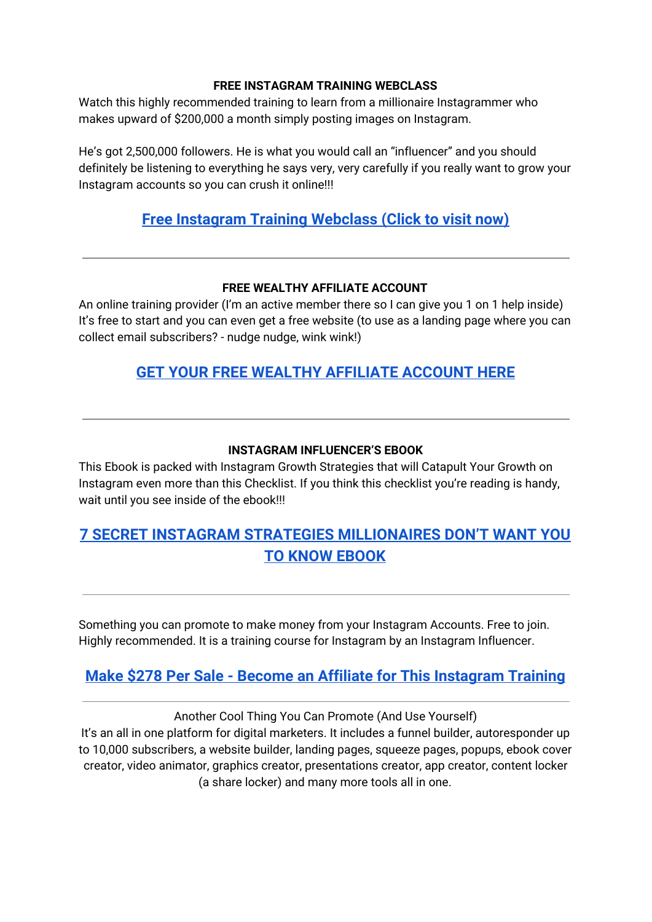#### **FREE INSTAGRAM TRAINING WEBCLASS**

Watch this highly recommended training to learn from a millionaire Instagrammer who makes upward of \$200,000 a month simply posting images on Instagram.

He's got 2,500,000 followers. He is what you would call an "influencer" and you should definitely be listening to everything he says very, very carefully if you really want to grow your Instagram accounts so you can crush it online!!!

### **Free [Instagram](https://beststayhomejobs.com/gowebinarnow) Training Webclass (Click to visit now)**

#### **FREE WEALTHY AFFILIATE ACCOUNT**

An online training provider (I'm an active member there so I can give you 1 on 1 help inside) It's free to start and you can even get a free website (to use as a landing page where you can collect email subscribers? - nudge nudge, wink wink!)

### **GET YOUR FREE WEALTHY [AFFILIATE](https://beststayhomejobs.com/WA-Starter) ACCOUNT HERE**

#### **INSTAGRAM INFLUENCER'S EBOOK**

This Ebook is packed with Instagram Growth Strategies that will Catapult Your Growth on Instagram even more than this Checklist. If you think this checklist you're reading is handy, wait until you see inside of the ebook!!!

### **7 SECRET INSTAGRAM STRATEGIES [MILLIONAIRES](https://beststayhomejobs.com/7secretsigbook) DON'T WANT YOU TO KNOW [EBOOK](https://beststayhomejobs.com/7secretsigbook)**

Something you can promote to make money from your Instagram Accounts. Free to join. Highly recommended. It is a training course for Instagram by an Instagram Influencer.

### **Make \$278 Per Sale - Become an Affiliate for This [Instagram](https://gg321.isrefer.com/go/affiliate/bobtosh/) Training**

Another Cool Thing You Can Promote (And Use Yourself) It's an all in one platform for digital marketers. It includes a funnel builder, autoresponder up to 10,000 subscribers, a website builder, landing pages, squeeze pages, popups, ebook cover creator, video animator, graphics creator, presentations creator, app creator, content locker (a share locker) and many more tools all in one.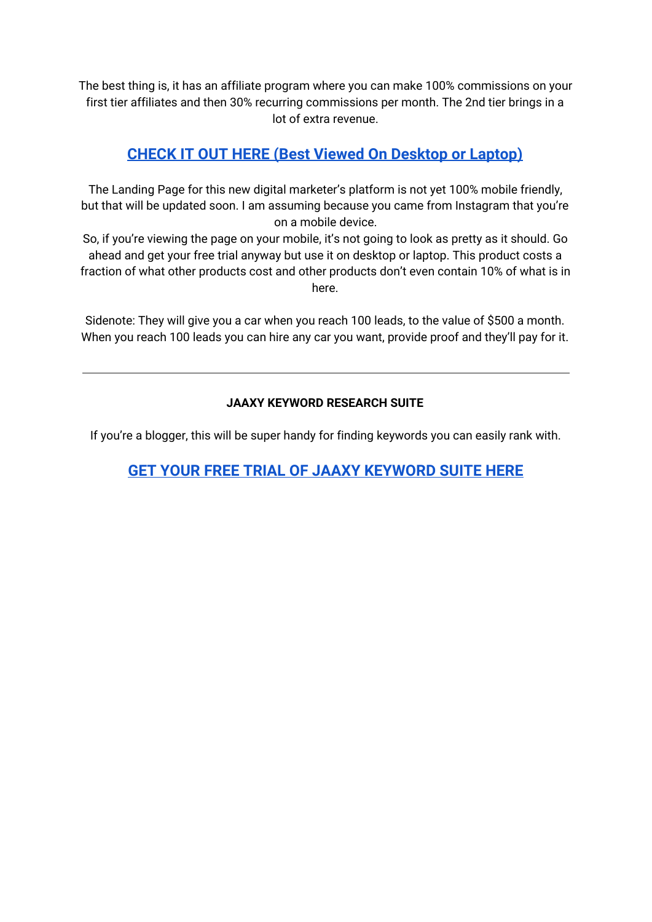The best thing is, it has an affiliate program where you can make 100% commissions on your first tier affiliates and then 30% recurring commissions per month. The 2nd tier brings in a lot of extra revenue.

### **CHECK IT OUT HERE (Best Viewed On [Desktop](https://goo.gl/6diRZz) or Laptop)**

The Landing Page for this new digital marketer's platform is not yet 100% mobile friendly, but that will be updated soon. I am assuming because you came from Instagram that you're on a mobile device.

So, if you're viewing the page on your mobile, it's not going to look as pretty as it should. Go ahead and get your free trial anyway but use it on desktop or laptop. This product costs a fraction of what other products cost and other products don't even contain 10% of what is in here.

Sidenote: They will give you a car when you reach 100 leads, to the value of \$500 a month. When you reach 100 leads you can hire any car you want, provide proof and they'll pay for it.

#### **JAAXY KEYWORD RESEARCH SUITE**

If you're a blogger, this will be super handy for finding keywords you can easily rank with.

**GET YOUR FREE TRIAL OF JAAXY [KEYWORD](https://beststayhomejobs.com/jxtrial) SUITE HERE**